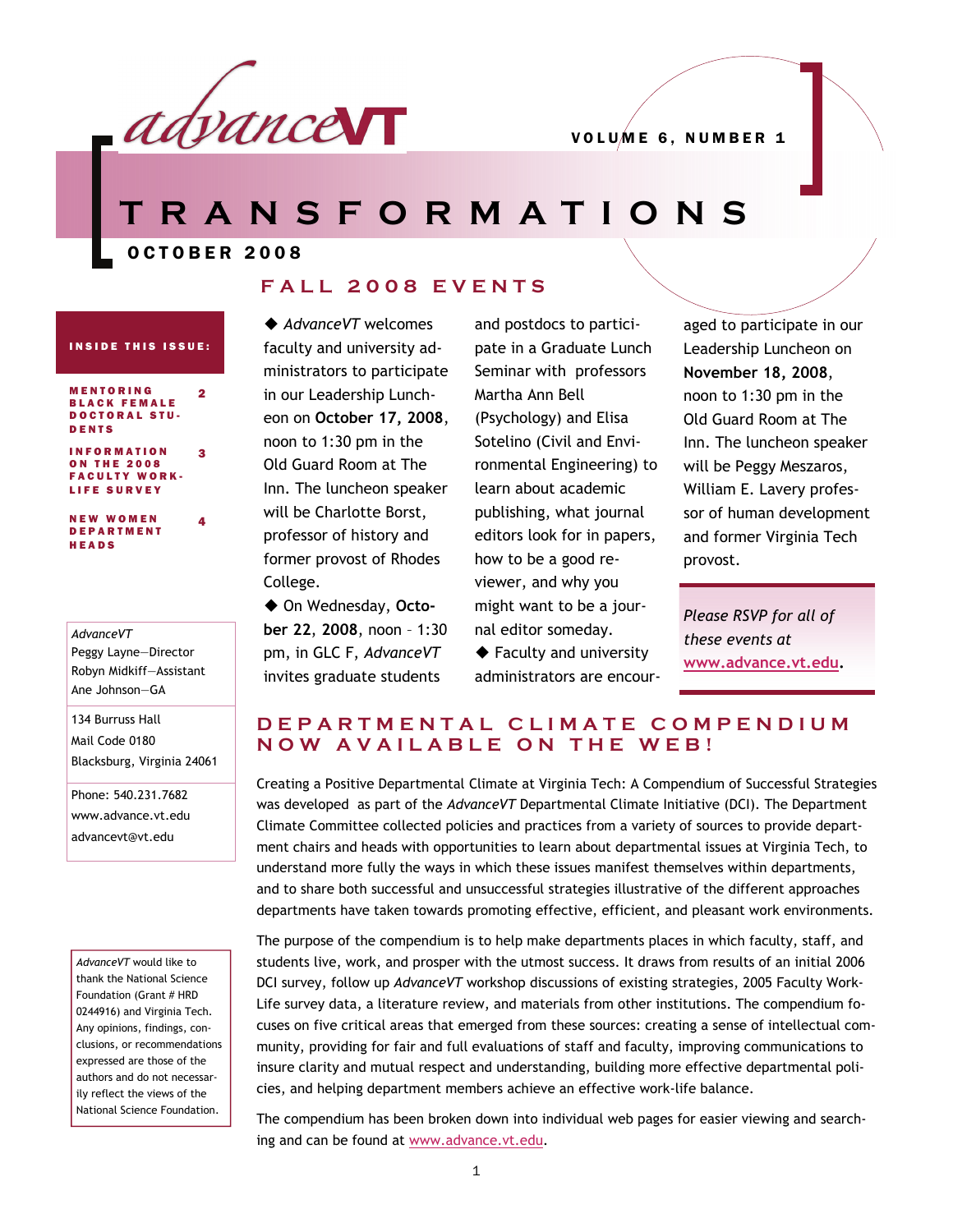

**TRANSFORMATIONS** 

OCTOBER 2008

2

4

#### **FALL 2008 EVENTS**

#### INSIDE THIS ISSUE:

MENTORING BLACK FEMALE DOCTORAL STU-DENTS

INFORMATION ON THE 2008 FACULTY WORK-LIFE SURVEY 3

NEW WOMEN DEPARTMENT HEADS

#### *AdvanceVT* Peggy Layne—Director Robyn Midkiff—Assistant Ane Johnson—GA

134 Burruss Hall Mail Code 0180 Blacksburg, Virginia 24061

Phone: 540.231.7682 www.advance.vt.edu advancevt@vt.edu

*AdvanceVT* would like to thank the National Science Foundation (Grant # HRD 0244916) and Virginia Tech. Any opinions, findings, conclusions, or recommendations expressed are those of the authors and do not necessarily reflect the views of the National Science Foundation.

◆ *AdvanceVT* welcomes faculty and university administrators to participate in our Leadership Luncheon on **October 17, 2008**, noon to 1:30 pm in the Old Guard Room at The Inn. The luncheon speaker will be Charlotte Borst, professor of history and former provost of Rhodes College.

◆ On Wednesday, Octo**ber 22**, **2008**, noon – 1:30 pm, in GLC F, *AdvanceVT*  invites graduate students

and postdocs to participate in a Graduate Lunch Seminar with professors Martha Ann Bell (Psychology) and Elisa Sotelino (Civil and Environmental Engineering) to learn about academic publishing, what journal editors look for in papers, how to be a good reviewer, and why you might want to be a journal editor someday.

◆ Faculty and university administrators are encouraged to participate in our Leadership Luncheon on **November 18, 2008**, noon to 1:30 pm in the Old Guard Room at The Inn. The luncheon speaker will be Peggy Meszaros, William E. Lavery professor of human development and former Virginia Tech provost.

*Please RSVP for all of these events at*  **[www.advance.vt.edu](http://www.advance.vt.edu).** 

#### **DEPARTMENTAL CLIMATE COMPENDIUM NOW AVAILABLE ON THE WEB!**

Creating a Positive Departmental Climate at Virginia Tech: A Compendium of Successful Strategies was developed as part of the *AdvanceVT* Departmental Climate Initiative (DCI). The Department Climate Committee collected policies and practices from a variety of sources to provide department chairs and heads with opportunities to learn about departmental issues at Virginia Tech, to understand more fully the ways in which these issues manifest themselves within departments, and to share both successful and unsuccessful strategies illustrative of the different approaches departments have taken towards promoting effective, efficient, and pleasant work environments.

The purpose of the compendium is to help make departments places in which faculty, staff, and students live, work, and prosper with the utmost success. It draws from results of an initial 2006 DCI survey, follow up *AdvanceVT* workshop discussions of existing strategies, 2005 Faculty Work-Life survey data, a literature review, and materials from other institutions. The compendium focuses on five critical areas that emerged from these sources: creating a sense of intellectual community, providing for fair and full evaluations of staff and faculty, improving communications to insure clarity and mutual respect and understanding, building more effective departmental policies, and helping department members achieve an effective work-life balance.

The compendium has been broken down into individual web pages for easier viewing and searching and can be found at [www.advance.vt.edu](http://www.advance.vt.edu).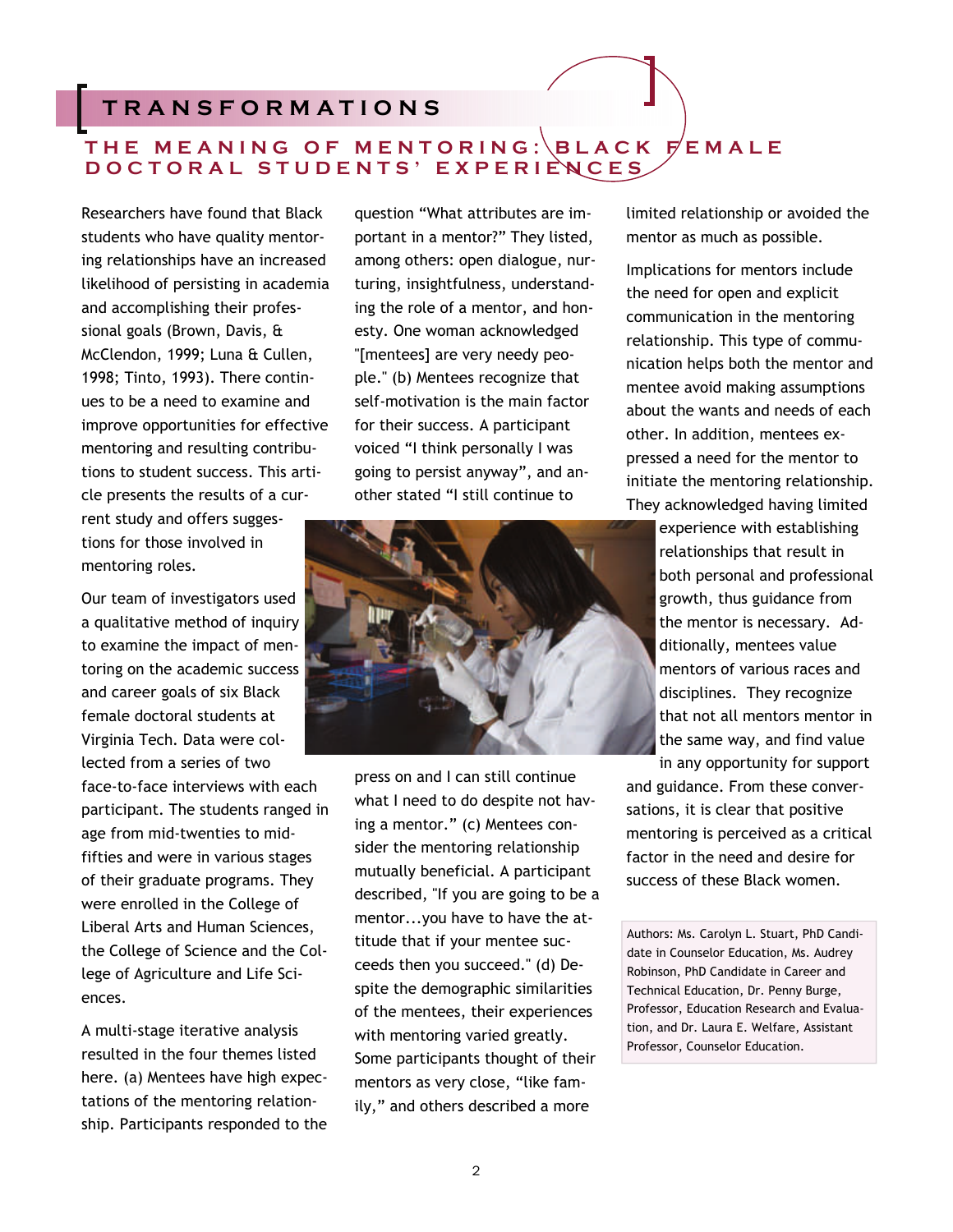## **TRANSFORMATIONS**

### THE MEANING OF MENTORING: BLACK FEMALE **DOCTORAL STUDENTS' EXPERIENCES**

Researchers have found that Black students who have quality mentoring relationships have an increased likelihood of persisting in academia and accomplishing their professional goals (Brown, Davis, & McClendon, 1999; Luna & Cullen, 1998; Tinto, 1993). There continues to be a need to examine and improve opportunities for effective mentoring and resulting contributions to student success. This article presents the results of a current study and offers suggestions for those involved in mentoring roles.

Our team of investigators used a qualitative method of inquiry to examine the impact of mentoring on the academic success and career goals of six Black female doctoral students at Virginia Tech. Data were collected from a series of two face-to-face interviews with each participant. The students ranged in age from mid-twenties to midfifties and were in various stages of their graduate programs. They were enrolled in the College of Liberal Arts and Human Sciences, the College of Science and the College of Agriculture and Life Sciences.

A multi-stage iterative analysis resulted in the four themes listed here. (a) Mentees have high expectations of the mentoring relationship. Participants responded to the

question "What attributes are important in a mentor?" They listed, among others: open dialogue, nurturing, insightfulness, understanding the role of a mentor, and honesty. One woman acknowledged "[mentees] are very needy people." (b) Mentees recognize that self-motivation is the main factor for their success. A participant voiced "I think personally I was going to persist anyway", and another stated "I still continue to



press on and I can still continue what I need to do despite not having a mentor." (c) Mentees consider the mentoring relationship mutually beneficial. A participant described, "If you are going to be a mentor...you have to have the attitude that if your mentee succeeds then you succeed." (d) Despite the demographic similarities of the mentees, their experiences with mentoring varied greatly. Some participants thought of their mentors as very close, "like family," and others described a more

limited relationship or avoided the mentor as much as possible.

Implications for mentors include the need for open and explicit communication in the mentoring relationship. This type of communication helps both the mentor and mentee avoid making assumptions about the wants and needs of each other. In addition, mentees expressed a need for the mentor to initiate the mentoring relationship. They acknowledged having limited

> experience with establishing relationships that result in both personal and professional growth, thus guidance from the mentor is necessary. Additionally, mentees value mentors of various races and disciplines. They recognize that not all mentors mentor in the same way, and find value in any opportunity for support

and guidance. From these conversations, it is clear that positive mentoring is perceived as a critical factor in the need and desire for success of these Black women.

Authors: Ms. Carolyn L. Stuart, PhD Candidate in Counselor Education, Ms. Audrey Robinson, PhD Candidate in Career and Technical Education, Dr. Penny Burge, Professor, Education Research and Evaluation, and Dr. Laura E. Welfare, Assistant Professor, Counselor Education.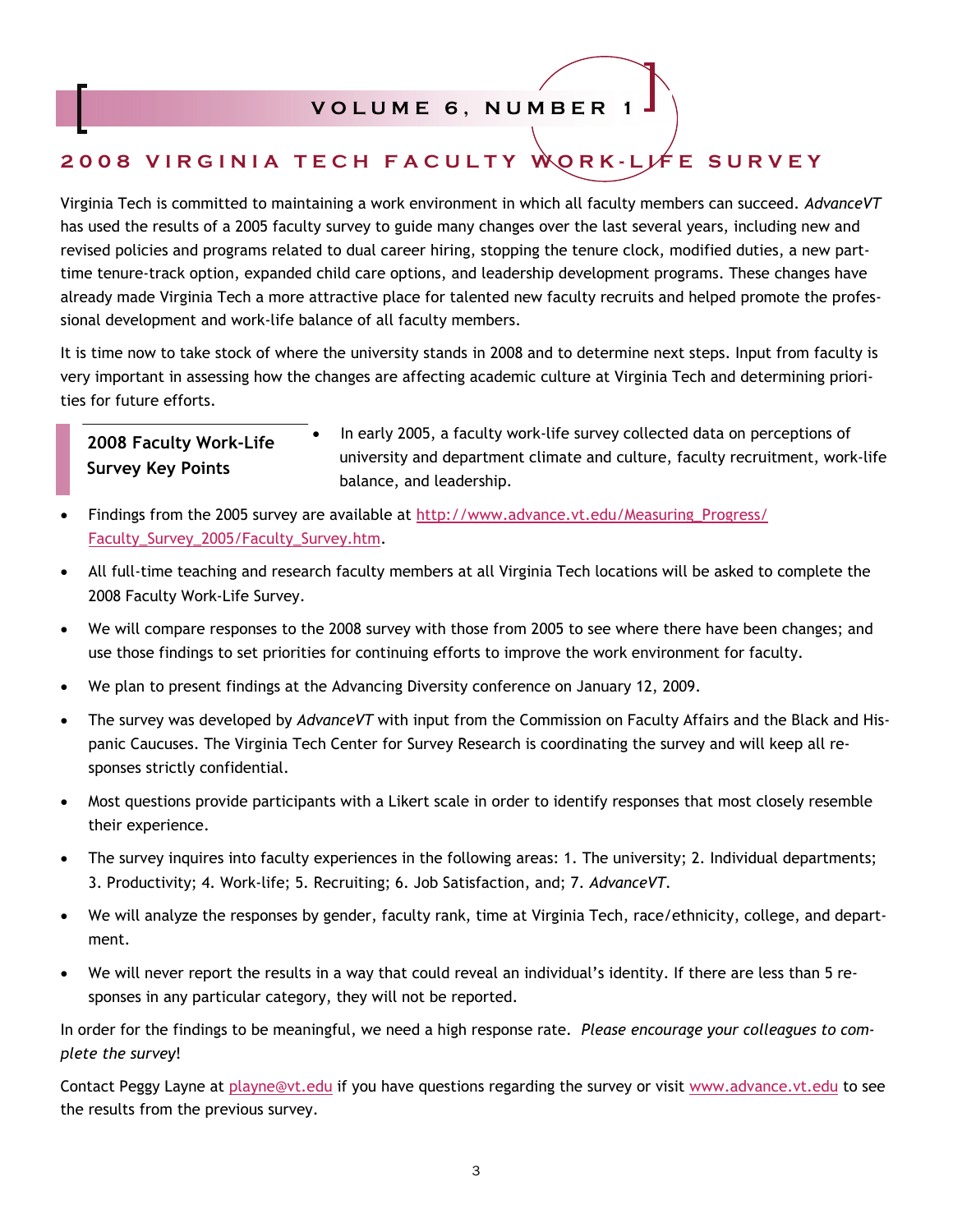#### **VOLUME 6, NUMBER 1**

# **2008 VIRGINIA TECH FACULTY WORK-LIFE SURVEY**

Virginia Tech is committed to maintaining a work environment in which all faculty members can succeed. *AdvanceVT*  has used the results of a 2005 faculty survey to guide many changes over the last several years, including new and revised policies and programs related to dual career hiring, stopping the tenure clock, modified duties, a new parttime tenure-track option, expanded child care options, and leadership development programs. These changes have already made Virginia Tech a more attractive place for talented new faculty recruits and helped promote the professional development and work-life balance of all faculty members.

It is time now to take stock of where the university stands in 2008 and to determine next steps. Input from faculty is very important in assessing how the changes are affecting academic culture at Virginia Tech and determining priorities for future efforts.

### **2008 Faculty Work-Life Survey Key Points**

• In early 2005, a faculty work-life survey collected data on perceptions of university and department climate and culture, faculty recruitment, work-life balance, and leadership.

- Findings from the 2005 survey are available at [http://www.advance.vt.edu/Measuring\\_Progress/](http://www.advance.vt.edu/Measuring_Progress/Faculty_Survey_2005/Faculty_Survey.htm) [Faculty\\_Survey\\_2005/Faculty\\_Survey.htm](http://www.advance.vt.edu/Measuring_Progress/Faculty_Survey_2005/Faculty_Survey.htm).
- All full-time teaching and research faculty members at all Virginia Tech locations will be asked to complete the 2008 Faculty Work-Life Survey.
- We will compare responses to the 2008 survey with those from 2005 to see where there have been changes; and use those findings to set priorities for continuing efforts to improve the work environment for faculty.
- We plan to present findings at the Advancing Diversity conference on January 12, 2009.
- The survey was developed by *AdvanceVT* with input from the Commission on Faculty Affairs and the Black and Hispanic Caucuses. The Virginia Tech Center for Survey Research is coordinating the survey and will keep all responses strictly confidential.
- Most questions provide participants with a Likert scale in order to identify responses that most closely resemble their experience.
- The survey inquires into faculty experiences in the following areas: 1. The university; 2. Individual departments; 3. Productivity; 4. Work-life; 5. Recruiting; 6. Job Satisfaction, and; 7. *AdvanceVT.*
- We will analyze the responses by gender, faculty rank, time at Virginia Tech, race/ethnicity, college, and department.
- We will never report the results in a way that could reveal an individual's identity. If there are less than 5 responses in any particular category, they will not be reported.

In order for the findings to be meaningful, we need a high response rate. *Please encourage your colleagues to complete the survey*!

Contact Peggy Layne at [playne@vt.edu](mailto:playne@vt.edu) if you have questions regarding the survey or visit [www.advance.vt.edu](http://www.advance.vt.edu) to see the results from the previous survey.